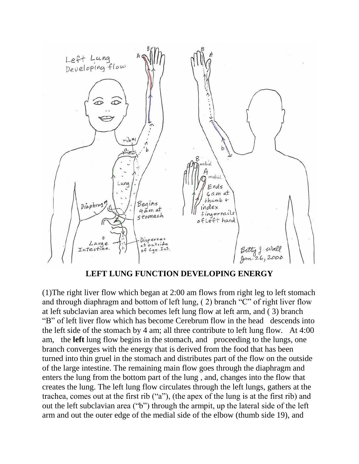

**LEFT LUNG FUNCTION DEVELOPING ENERGY** 

(1)The right liver flow which began at 2:00 am flows from right leg to left stomach and through diaphragm and bottom of left lung, ( 2) branch "C" of right liver flow at left subclavian area which becomes left lung flow at left arm, and ( 3) branch "B" of left liver flow which has become Cerebrum flow in the head descends into the left side of the stomach by 4 am; all three contribute to left lung flow. At 4:00 am, the **left** lung flow begins in the stomach, and proceeding to the lungs, one branch converges with the energy that is derived from the food that has been turned into thin gruel in the stomach and distributes part of the flow on the outside of the large intestine. The remaining main flow goes through the diaphragm and enters the lung from the bottom part of the lung , and, changes into the flow that creates the lung. The left lung flow circulates through the left lungs, gathers at the trachea, comes out at the first rib ("a"), (the apex of the lung is at the first rib) and out the left subclavian area ("b") through the armpit, up the lateral side of the left arm and out the outer edge of the medial side of the elbow (thumb side 19), and